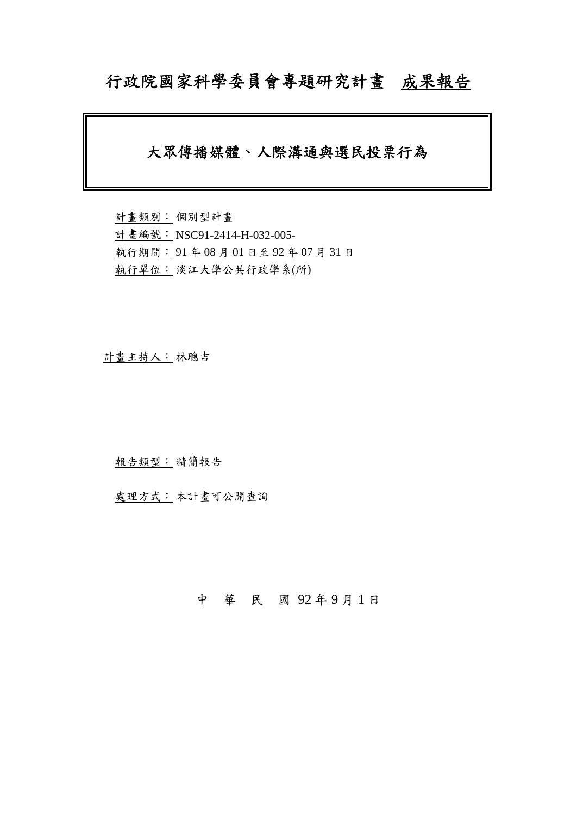# 行政院國家科學委員會專題研究計畫成果報告

# 大眾傳播媒體、人際溝通與選民投票行為

計畫類別: 個別型計畫 計畫編號: NSC91-2414-H-032-005- 執行期間: 91 年 08 月 01 日至 92 年 07 月 31 日 執行單位: 淡江大學公共行政學系(所)

計畫主持人: 林聰吉

報告類型: 精簡報告

處理方式: 本計畫可公開查詢

中 華 民 國 92 年 9 月 1 日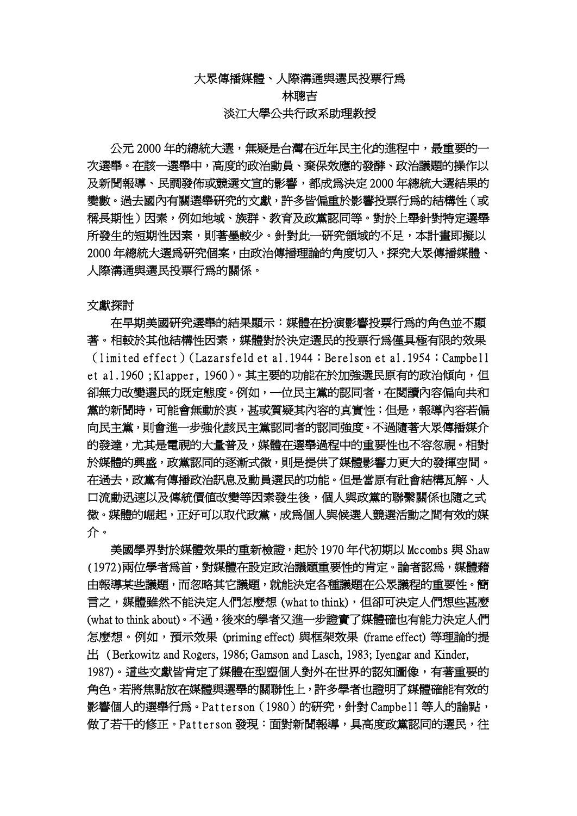大眾傳播媒體、人際溝通與選民投票行為

林聰吉 淡江大學公共行政系助理教授

公元 2000 年的總統大選,無疑是台灣在沂年民主化的進程中,最重要的一 次選舉。在該一選舉中,高度的政治動員、棄保效應的發酵、政治議題的操作以 及新聞報導、民調發佈或競選文宣的影響,都成為決定 2000 年總統大選結果的 變數。過去國內有關選舉研究的文獻,許多皆偏重於影響投票行為的結構性(或 稱長期性)因素,例如地域、族群、教育及政黨認同等。對於上舉針對特定選舉 所發生的短期性因素,則著墨較少。針對此一研究領域的不足,本計畫即擬以 2000 年總統大選為研究個案,由政治傳播理論的角度切入,探究大眾傳播媒體、 人際溝通與選民投票行為的關係。

文獻探討

在早期美國研究選舉的結果顯示:媒體在扮演影響投票行為的角色並不顯 著。相較於其他結構性因素,媒體對於決定選民的投票行為僅具極有限的效果 (limited effect)(Lazarsfeld et al.1944;Berelson et al.1954;Campbell et al.1960;Klapper, 1960)。其主要的功能在於加強選民原有的政治傾向, 但 卻無力改變選民的既定態度。例如,一位民主黨的認同者,在閱讀內容偏向共和 黨的新聞時,可能會無動於衷,甚或質疑其內容的真實性;但是,報導內容若偏 向民主黨,則會進一步強化該民主黨認同者的認同強度。不過隨著大眾傳播媒介 的發達,尤其是電視的大量普及,媒體在選舉過程中的重要性也不容忽視。相對 於媒體的興盛,政黨認同的逐漸式微,則是提供了媒體影響力更大的發揮空間。 在過去,政黨有傳播政治訊息及動員選民的功能。但是當原有社會結構瓦解、人 口流動迅速以及傳統價值改變等因素發生後,個人與政黨的聯繫關係也隨之式 微。媒體的崛起,正好可以取代政黨,成爲個人與候選人競選活動之間有效的媒 介。

 美國學界對於媒體效果的重新檢證,起於 1970 年代初期以 Mccombs 與 Shaw (1972)兩位學者為首,對媒體在設定政治議題重要性的肯定。論者認為,媒體藉 由報導某些議題,而忽略其它議題,就能決定各種議題在公眾議程的重要性。簡 言之,媒體雖然不能決定人們怎麼想 (what to think), 但卻可決定人們想些甚麼 (what to think about)。不過,後來的學者又進一步證實了媒體確也有能力決定人們 怎麼想。例如,預示效果 (priming effect) 與框架效果 (frame effect) 等理論的提 出 ( Berkowitz and Rogers, 1986; Gamson and Lasch, 1983; Iyengar and Kinder, 1987)。這些文獻皆肯定了媒體在型塑個人對外在世界的認知圖像,有著重要的 角色。若將焦點放在媒體與選舉的關聯性上,許多學者也證明了媒體確能有效的 影響個人的選舉行為。Patterson(1980)的研究,針對 Campbell 等人的論點, 做了若干的修正。Patterson 發現:面對新聞報導,具高度政黨認同的選民,往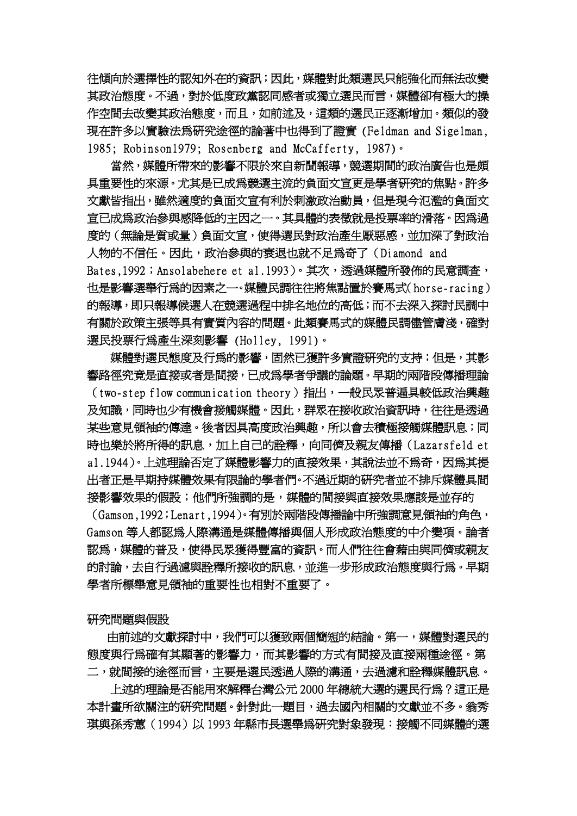往傾向於選擇性的認知外在的資訊;因此,媒體對此類選民只能強化而無法改變 其政治態度。不過,對於低度政黨認同感者或獨立選民而言,媒體卻有極大的操 作空間去改變其政治態度,而且,如前述及,這類的選民正逐漸增加。類似的發 現在許多以實驗法為研究途徑的論著中也得到了證實 (Feldman and Sigelman, 1985; Robinson1979; Rosenberg and McCafferty, 1987)。

當然,媒體所帶來的影響不限於來自新聞報導,競選期間的政治廣告也是頗 具重要性的來源。尤其是已成為競選主流的負面文宣更是學者研究的焦點。許多 文獻皆指出,雖然適度的負面文宣有利於刺激政治動員,但是現今氾濫的負面文 宣已成為政治參與感降低的主因之一。其具體的表徵就是投票率的滑落。因為過 度的(無論是質或量)負面文宣,使得選民對政治產生厭惡感,並加深了對政治 人物的不信任。因此,政治參與的衰退也就不足為奇了(Diamond and Bates,1992; Ansolabehere et al.1993)。其次,透過媒體所發佈的民意調査, 也是影響選舉行為的因素之一。媒體民調往往將焦點置於賽馬式(horse-racing) 的報導,即只報導候選人在競選過程中排名地位的高低;而不去深入探討民調中 有關於政策主張等具有實質內容的問題。此類賽馬式的媒體民調儘管膚淺,確對 選民投票行為產生深刻影響 (Holley, 1991)。

媒體對選民態度及行為的影響,固然已獲許多實證研究的支持;但是,其影 響路徑究竟是直接或者是間接,已成為學者爭議的論題。早期的兩階段傳播理論 (two-step flow communication theory)指出,一般民眾普遍具較低政治興趣 及知識,同時也少有機會接觸媒體。因此,群眾在接收政治資訊時,往往是透過 某些意見領袖的傳達。後者因具高度政治興趣,所以會去積極接觸媒體訊息;同 時也樂於將所得的訊息,加上自己的詮釋,向同儕及親友傳播(Lazarsfeld et a1.1944)。上述理論否定了媒體影響力的直接效果,其說法並不為奇,因為其提 出者正是早期持媒體效果有限論的學者們。不過近期的研究者並不排斥媒體具間 接影響效果的假設;他們所強調的是,媒體的間接與直接效果應該是並存的

(Gamson,1992;Lenart,1994)。有別於兩階段傳播論中所強調意見領袖的角色, Gamson 等人都認為人際溝通是媒體傳播與個人形成政治態度的中介變項。論者 認為,媒體的普及,使得民眾獲得豐富的資訊。而人們往往會藉由與同儕或親友 的討論,去自行過濾與詮釋所接收的訊息,並進一步形成政治態度與行爲。早期 學者所標舉意見領袖的重要性也相對不重要了。

研究問題與假設

由前述的文獻探討中,我們可以獲致兩個簡短的結論。第一,媒體對選民的 態度與行為確有其顯著的影響力,而其影響的方式有間接及直接兩種途徑。第 二,就間接的途徑而言,主要是選民透過人際的溝通,去過濾和詮釋媒體訊息。

上述的理論是否能用來解釋台灣公元 2000 年總統大選的選民行為?這正是 本計畫所欲關注的研究問題。針對此一題目,過去國內相關的文獻並不多。翁秀 琪與孫秀蕙(1994)以 1993 年縣市長選舉為研究對象發現:接觸不同媒體的選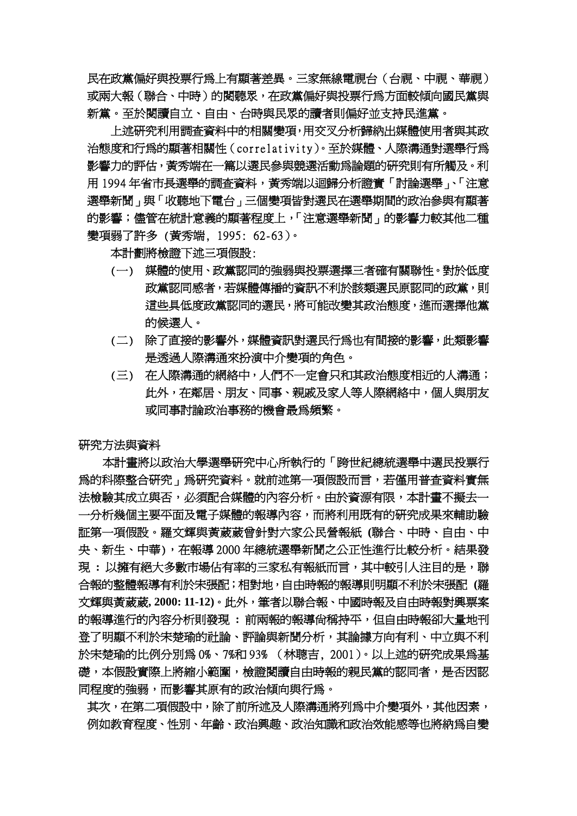民在政黨偏好與投票行為上有顯著差異。三家無線電視台(台視、中視、華視) 或兩大報(聯合、中時)的閱聽眾,在政黨偏好與投票行為方面較傾向國民黨與 新黨。至於閱讀自立、自由、台時與民眾的讀者則偏好並支持民進黨。

上述研究利用調査資料中的相關變項,用交叉分析歸納出媒體使用者與其政 治態度和行為的顯著相關性(correlativity)。至於媒體、人際溝通對選舉行為 影響力的評估,黃秀端在一篇以選民參與競選活動為論題的研究則有所觸及。利 用 1994 年省市長選舉的調査資料,黃秀端以迴歸分析證實「討論選舉」、「注意 選舉新聞」與「收聽地下電台」三個變項皆對選民在選舉期間的政治參與有顯著 的影響;儘管在統計意義的顯著程度上,「注意選舉新聞」的影響力較其他二種 變項弱了許多 (黃秀端, 1995: 62-63)。

本計劃將檢證下述三項假設:

- (一) 媒體的使用、政黨認同的強弱與投票選擇三者確有關聯性。對於低度 政黨認同感者,若媒體傳播的資訊不利於該類選民原認同的政黨,則 這些具低度政黨認同的選民,將可能改變其政治態度,進而選擇他黨 的候選人。
- (二) 除了直接的影響外,媒體資訊對選民行為也有間接的影響,此類影響 是透過人際溝通來扮演中介變項的角色。
- (三) 在人際溝通的網絡中,人們不一定會只和其政治態度相近的人溝通; 此外,在鄰居、朋友、同事、親戚及家人等人際網絡中,個人與朋友 或同事討論政治事務的機會最爲頻繁。

研究方法與資料

 本計畫將以政治大學選舉研究中心所執行的「跨世紀總統選舉中選民投票行 為的科際整合研究」為研究資料。就前述第一項假設而言,若僅用普查資料實無 法檢驗其成立與不,必須配合媒體的內容分析。由於資源有限,本計書不擬去一 一分析幾個主要平面及電子媒體的報導內容,而將利用既有的研究成果來輔助驗 証第一項假設。羅文輝與黃葳葳曾針對六家公民營報紙 **(**聯合、中時、自由、中 央、新生、中華),在報導 2000 年總統選舉新聞之公正性進行比較分析。結果發 現 **:** 以擁有絕大多數市場佔有率的三家私有報紙而言,其中較引人注目的是,聯 合報的整體報導有利於宋張配;相對地,自由時報的報導則明顯不利於宋張配 **(**羅 文輝與黃葳葳**, 2000: 11-12)**。此外,筆者以聯合報、中國時報及自由時報對興票案 的報導進行的內容分析則發現 **:** 前兩報的報導尚稱持平,但自由時報卻大量地刊 登了明顯不利於宋楚瑜的社論、評論與新聞分析,其論據方向有利、中立與不利 於宋楚瑜的比例分別為 0%、7%和 93% (林聰吉, 2001)。以上述的研究成果為基 礎,本假設實際上將縮小範圍,檢證閱讀自由時報的親民黨的認同者,是否因認 同程度的強弱,而影響其原有的政治傾向與行為。

其次, 在第二項假設中, 除了前所述及人際溝通將列為中介變項外, 其他因素, 例如教育程度、性別、年齡、政治興趣、政治知識和政治效能感等也將納為自變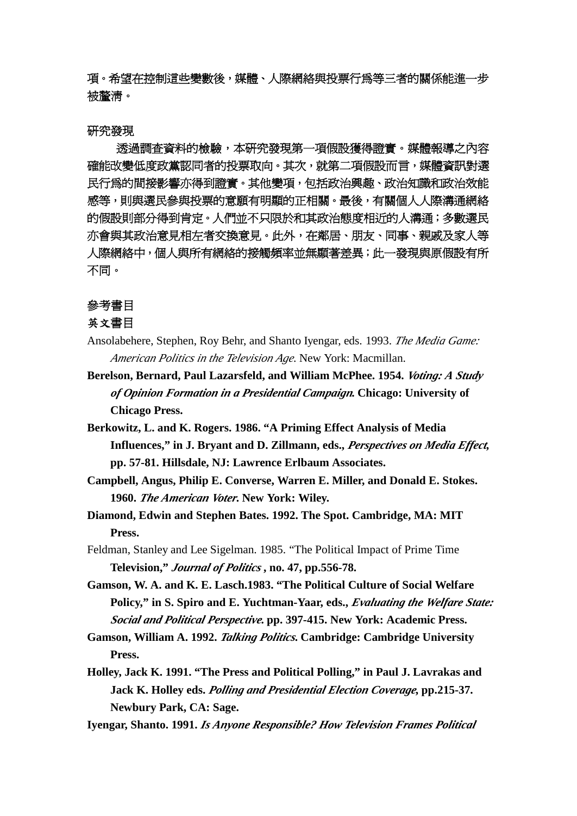項。希望在控制這些變數後,媒體、人際網絡與投票行為等三者的關係能進一步 被釐清。

#### 研究發現

透過調查資料的檢驗,本研究發現第一項假設獲得證實。媒體報導之內容 確能改變低度政黨認同者的投票取向。其次,就第二項假設而言,媒體資訊對選 民行為的間接影響亦得到證實。其他變項,包括政治興趣、政治知識和政治效能 感等,則與選民參與投票的意願有明顯的正相關。最後,有關個人人際溝通網絡 的假設則部分得到肯定。人們並不只限於和其政治態度相近的人溝通;多數選民 亦會與其政治意見相左者交換意見。此外,在鄰居、朋友、同事、親戚及家人等 人際網絡中,個人與所有網絡的接觸頻率並無顯著差異;此一發現與原假設有所 不同。

## 參考書目

### 英文書目

- Ansolabehere, Stephen, Roy Behr, and Shanto Iyengar, eds. 1993. *The Media Game: American Politics in the Television Age*. New York: Macmillan.
- **Berelson, Bernard, Paul Lazarsfeld, and William McPhee. 1954.** *Voting: A Study of Opinion Formation in a Presidential Campaign***. Chicago: University of Chicago Press.**
- **Berkowitz, L. and K. Rogers. 1986. "A Priming Effect Analysis of Media Influences," in J. Bryant and D. Zillmann, eds.,** *Perspectives on Media Effect***, pp. 57-81. Hillsdale, NJ: Lawrence Erlbaum Associates.**
- **Campbell, Angus, Philip E. Converse, Warren E. Miller, and Donald E. Stokes. 1960.** *The American Voter***. New York: Wiley.**
- **Diamond, Edwin and Stephen Bates. 1992. The Spot. Cambridge, MA: MIT Press.**
- Feldman, Stanley and Lee Sigelman. 1985. "The Political Impact of Prime Time **Television,"** *Journal of Politics* **, no. 47, pp.556-78.**
- **Gamson, W. A. and K. E. Lasch.1983. "The Political Culture of Social Welfare Policy," in S. Spiro and E. Yuchtman-Yaar, eds.,** *Evaluating the Welfare State: Social and Political Perspective***. pp. 397-415. New York: Academic Press.**

**Gamson, William A. 1992.** *Talking Politics***. Cambridge: Cambridge University Press.**

**Holley, Jack K. 1991. "The Press and Political Polling," in Paul J. Lavrakas and Jack K. Holley eds.** *Polling and Presidential Election Coverage***, pp.215-37. Newbury Park, CA: Sage.**

**Iyengar, Shanto. 1991.** *Is Anyone Responsible? How Television Frames Political*